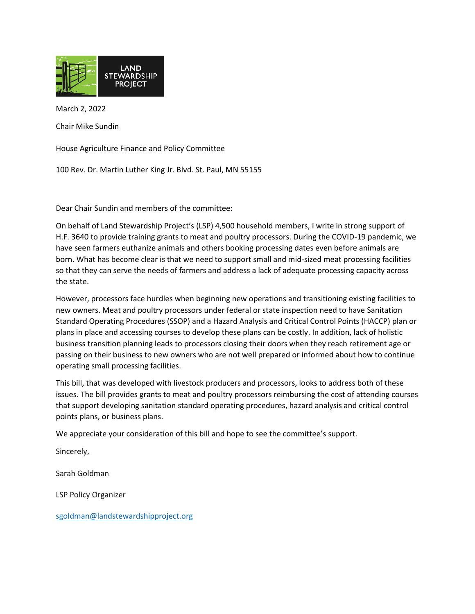

March 2, 2022

Chair Mike Sundin

House Agriculture Finance and Policy Committee

100 Rev. Dr. Martin Luther King Jr. Blvd. St. Paul, MN 55155

Dear Chair Sundin and members of the committee:

On behalf of Land Stewardship Project's (LSP) 4,500 household members, I write in strong support of H.F. 3640 to provide training grants to meat and poultry processors. During the COVID-19 pandemic, we have seen farmers euthanize animals and others booking processing dates even before animals are born. What has become clear is that we need to support small and mid-sized meat processing facilities so that they can serve the needs of farmers and address a lack of adequate processing capacity across the state.

However, processors face hurdles when beginning new operations and transitioning existing facilities to new owners. Meat and poultry processors under federal or state inspection need to have [Sanitation](https://www.mda.state.mn.us/sites/default/files/docs/2020-04/Example%20SSOP.pdf)  [Standard Operating Procedures \(SSOP\)](https://www.mda.state.mn.us/sites/default/files/docs/2020-04/Example%20SSOP.pdf) and [a Hazard Analysis and Critical Control Points \(HACCP\)](https://www.mda.state.mn.us/food-feed/haccp-ssop-information-resources) plan or plans in place and accessing courses to develop these plans can be costly. In addition, lack of holistic business transition planning leads to processors closing their doors when they reach retirement age or passing on their business to new owners who are not well prepared or informed about how to continue operating small processing facilities.

This bill, that was developed with livestock producers and processors, looks to address both of these issues. The bill provides grants to meat and poultry processors reimbursing the cost of attending courses that support developing sanitation standard operating procedures, hazard analysis and critical control points plans, or business plans.

We appreciate your consideration of this bill and hope to see the committee's support.

Sincerely,

Sarah Goldman

LSP Policy Organizer

[sgoldman@landstewardshipproject.org](mailto:sgoldman@landstewardshipproject.org)